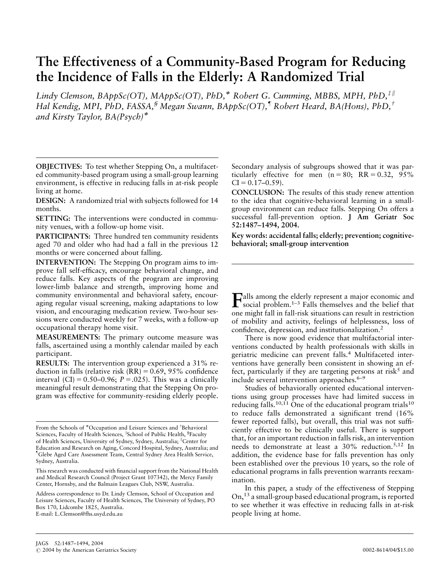# The Effectiveness of a Community-Based Program for Reducing the Incidence of Falls in the Elderly: A Randomized Trial

Lindy Clemson,  $BAppSc(OT)$ ,  $MAppSc(OT)$ ,  $PhD$ ,<sup>\*</sup> Robert G. Cumming, MBBS, MPH,  $PhD$ ,<sup> $\ddagger$ ||</sup> Hal Kendig, MPI, PhD, FASSA,<sup>§</sup> Megan Swann, BAppSc(OT),<sup>¶</sup> Robert Heard, BA(Hons), PhD,<sup>†</sup> and Kirsty Taylor, BA(Psych)\*

OBJECTIVES: To test whether Stepping On, a multifaceted community-based program using a small-group learning environment, is effective in reducing falls in at-risk people living at home.

DESIGN: A randomized trial with subjects followed for 14 months.

SETTING: The interventions were conducted in community venues, with a follow-up home visit.

PARTICIPANTS: Three hundred ten community residents aged 70 and older who had had a fall in the previous 12 months or were concerned about falling.

INTERVENTION: The Stepping On program aims to improve fall self-efficacy, encourage behavioral change, and reduce falls. Key aspects of the program are improving lower-limb balance and strength, improving home and community environmental and behavioral safety, encouraging regular visual screening, making adaptations to low vision, and encouraging medication review. Two-hour sessions were conducted weekly for 7 weeks, with a follow-up occupational therapy home visit.

MEASUREMENTS: The primary outcome measure was falls, ascertained using a monthly calendar mailed by each participant.

RESULTS: The intervention group experienced a 31% reduction in falls (relative risk  $(RR) = 0.69, 95\%$  confidence interval (CI) =  $0.50-0.96$ ;  $P = .025$ ). This was a clinically meaningful result demonstrating that the Stepping On program was effective for community-residing elderly people.

Secondary analysis of subgroups showed that it was particularly effective for men  $(n = 80; RR = 0.32, 95\%)$  $CI = 0.17-0.59$ .

CONCLUSION: The results of this study renew attention to the idea that cognitive-behavioral learning in a smallgroup environment can reduce falls. Stepping On offers a successful fall-prevention option. J Am Geriatr Soc 52:1487–1494, 2004.

Key words: accidental falls; elderly; prevention; cognitivebehavioral; small-group intervention

Falls among the elderly represent a major economic and<br>social problem.<sup>1–3</sup> Falls themselves and the belief that one might fall in fall-risk situations can result in restriction of mobility and activity, feelings of helplessness, loss of confidence, depression, and institutionalization.2

There is now good evidence that multifactorial interventions conducted by health professionals with skills in geriatric medicine can prevent falls.<sup>4</sup> Multifaceted interventions have generally been consistent in showing an effect, particularly if they are targeting persons at risk<sup>5</sup> and include several intervention approaches.6–9

Studies of behaviorally oriented educational interventions using group processes have had limited success in reducing falls.<sup>10,11</sup> One of the educational program trials<sup>10</sup> to reduce falls demonstrated a significant trend (16% fewer reported falls), but overall, this trial was not sufficiently effective to be clinically useful. There is support that, for an important reduction in falls risk, an intervention needs to demonstrate at least a 30% reduction.5,12 In addition, the evidence base for falls prevention has only been established over the previous 10 years, so the role of educational programs in falls prevention warrants reexamination.

In this paper, a study of the effectiveness of Stepping On,13 a small-group based educational program, is reported to see whether it was effective in reducing falls in at-risk people living at home.

From the Schools of \*Occupation and Leisure Sciences and <sup>†</sup>Behavioral Sciences, Faculty of Health Sciences, <sup>‡</sup>School of Public Health, <sup>§</sup>Faculty of Health Sciences, University of Sydney, Sydney, Australia; <sup>||</sup>Center for Education and Research on Aging, Concord Hospital, Sydney, Australia; and <sup>1</sup>Glebe Aged Care Assessment Team, Central Sydney Area Health Service, Sydney, Australia.

This research was conducted with financial support from the National Health and Medical Research Council (Project Grant 107342), the Mercy Family Center, Hornsby, and the Balmain Leagues Club, NSW, Australia.

Address correspondence to Dr. Lindy Clemson, School of Occupation and Leisure Sciences, Faculty of Health Sciences, The University of Sydney, PO Box 170, Lidcombe 1825, Australia. E-mail: L.Clemson@fhs.usyd.edu.au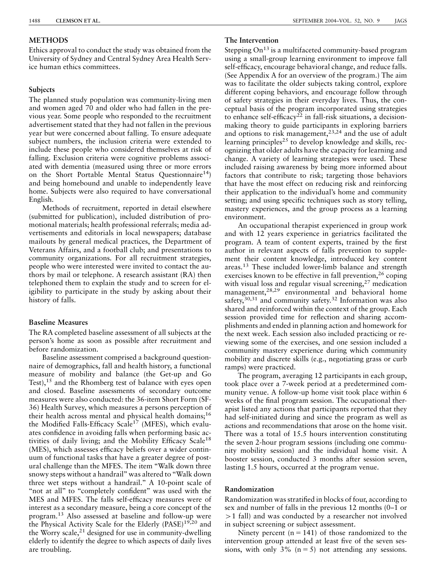## **METHODS**

Ethics approval to conduct the study was obtained from the University of Sydney and Central Sydney Area Health Service human ethics committees.

# **Subjects**

The planned study population was community-living men and women aged 70 and older who had fallen in the previous year. Some people who responded to the recruitment advertisement stated that they had not fallen in the previous year but were concerned about falling. To ensure adequate subject numbers, the inclusion criteria were extended to include these people who considered themselves at risk of falling. Exclusion criteria were cognitive problems associated with dementia (measured using three or more errors on the Short Portable Mental Status Questionnaire<sup>14</sup>) and being homebound and unable to independently leave home. Subjects were also required to have conversational English.

Methods of recruitment, reported in detail elsewhere (submitted for publication), included distribution of promotional materials; health professional referrals; media advertisements and editorials in local newspapers; database mailouts by general medical practices, the Department of Veterans Affairs, and a football club; and presentations to community organizations. For all recruitment strategies, people who were interested were invited to contact the authors by mail or telephone. A research assistant (RA) then telephoned them to explain the study and to screen for eligibility to participate in the study by asking about their history of falls.

# Baseline Measures

The RA completed baseline assessment of all subjects at the person's home as soon as possible after recruitment and before randomization.

Baseline assessment comprised a background questionnaire of demographics, fall and health history, a functional measure of mobility and balance (the Get-up and Go Test),<sup>15</sup> and the Rhomberg test of balance with eyes open and closed. Baseline assessments of secondary outcome measures were also conducted: the 36-item Short Form (SF-36) Health Survey, which measures a persons perception of their health across mental and physical health domains;<sup>16</sup> the Modified Falls-Efficacy Scale<sup>17</sup> (MFES), which evaluates confidence in avoiding falls when performing basic activities of daily living; and the Mobility Efficacy Scale<sup>18</sup> (MES), which assesses efficacy beliefs over a wider continuum of functional tasks that have a greater degree of postural challenge than the MFES. The item ''Walk down three snowy steps without a handrail'' was altered to ''Walk down three wet steps without a handrail.'' A 10-point scale of "not at all" to "completely confident" was used with the MES and MFES. The falls self-efficacy measures were of interest as a secondary measure, being a core concept of the program.13 Also assessed at baseline and follow-up were the Physical Activity Scale for the Elderly (PASE)<sup>19,20</sup> and the Worry scale, $^{21}$  designed for use in community-dwelling elderly to identify the degree to which aspects of daily lives are troubling.

# The Intervention

Stepping  $On^{13}$  is a multifaceted community-based program using a small-group learning environment to improve fall self-efficacy, encourage behavioral change, and reduce falls. (See Appendix A for an overview of the program.) The aim was to facilitate the older subjects taking control, explore different coping behaviors, and encourage follow through of safety strategies in their everyday lives. Thus, the conceptual basis of the program incorporated using strategies to enhance self-efficacy<sup>22</sup> in fall-risk situations, a decisionmaking theory to guide participants in exploring barriers and options to risk management,23,24 and the use of adult learning principles<sup>25</sup> to develop knowledge and skills, recognizing that older adults have the capacity for learning and change. A variety of learning strategies were used. These included raising awareness by being more informed about factors that contribute to risk; targeting those behaviors that have the most effect on reducing risk and reinforcing their application to the individual's home and community setting; and using specific techniques such as story telling, mastery experiences, and the group process as a learning environment.

An occupational therapist experienced in group work and with 12 years experience in geriatrics facilitated the program. A team of content experts, trained by the first author in relevant aspects of falls prevention to supplement their content knowledge, introduced key content areas.13 These included lower-limb balance and strength exercises known to be effective in fall prevention, <sup>26</sup> coping with visual loss and regular visual screening,<sup>27</sup> medication management,28,29 environmental and behavioral home safety,  $30,31$  and community safety.  $32$  Information was also shared and reinforced within the context of the group. Each session provided time for reflection and sharing accomplishments and ended in planning action and homework for the next week. Each session also included practicing or reviewing some of the exercises, and one session included a community mastery experience during which community mobility and discrete skills (e.g., negotiating grass or curb ramps) were practiced.

The program, averaging 12 participants in each group, took place over a 7-week period at a predetermined community venue. A follow-up home visit took place within 6 weeks of the final program session. The occupational therapist listed any actions that participants reported that they had self-initiated during and since the program as well as actions and recommendations that arose on the home visit. There was a total of 15.5 hours intervention constituting the seven 2-hour program sessions (including one community mobility session) and the individual home visit. A booster session, conducted 3 months after session seven, lasting 1.5 hours, occurred at the program venue.

# Randomization

Randomization was stratified in blocks of four, according to sex and number of falls in the previous 12 months (0–1 or  $>1$  fall) and was conducted by a researcher not involved in subject screening or subject assessment.

Ninety percent  $(n = 141)$  of those randomized to the intervention group attended at least five of the seven sessions, with only  $3\%$  (n = 5) not attending any sessions.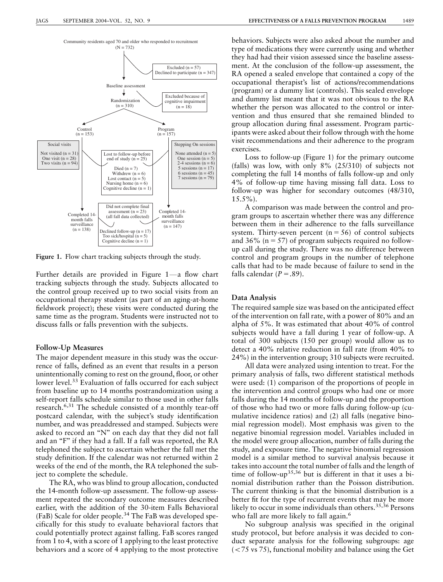

Figure 1. Flow chart tracking subjects through the study.

Further details are provided in Figure 1-a flow chart tracking subjects through the study. Subjects allocated to the control group received up to two social visits from an occupational therapy student (as part of an aging-at-home fieldwork project); these visits were conducted during the same time as the program. Students were instructed not to discuss falls or falls prevention with the subjects.

#### Follow-Up Measures

The major dependent measure in this study was the occurrence of falls, defined as an event that results in a person unintentionally coming to rest on the ground, floor, or other lower level.<sup>33</sup> Evaluation of falls occurred for each subject from baseline up to 14 months postrandomization using a self-report falls schedule similar to those used in other falls research.6,31 The schedule consisted of a monthly tear-off postcard calendar, with the subject's study identification number, and was preaddressed and stamped. Subjects were asked to record an ''N'' on each day that they did not fall and an "F" if they had a fall. If a fall was reported, the RA telephoned the subject to ascertain whether the fall met the study definition. If the calendar was not returned within 2 weeks of the end of the month, the RA telephoned the subject to complete the schedule.

The RA, who was blind to group allocation, conducted the 14-month follow-up assessment. The follow-up assessment repeated the secondary outcome measures described earlier, with the addition of the 30-item Falls Behavioral (FaB) Scale for older people.34 The FaB was developed specifically for this study to evaluate behavioral factors that could potentially protect against falling. FaB scores ranged from 1 to 4, with a score of 1 applying to the least protective behaviors and a score of 4 applying to the most protective

behaviors. Subjects were also asked about the number and type of medications they were currently using and whether they had had their vision assessed since the baseline assessment. At the conclusion of the follow-up assessment, the RA opened a sealed envelope that contained a copy of the occupational therapist's list of actions/recommendations (program) or a dummy list (controls). This sealed envelope and dummy list meant that it was not obvious to the RA whether the person was allocated to the control or intervention and thus ensured that she remained blinded to group allocation during final assessment. Program participants were asked about their follow through with the home visit recommendations and their adherence to the program exercises.

Loss to follow-up (Figure 1) for the primary outcome (falls) was low, with only 8% (25/310) of subjects not completing the full 14 months of falls follow-up and only 4% of follow-up time having missing fall data. Loss to follow-up was higher for secondary outcomes (48/310,  $15.5\%$ ).

A comparison was made between the control and program groups to ascertain whether there was any difference between them in their adherence to the falls surveillance system. Thirty-seven percent  $(n = 56)$  of control subjects and 36% ( $n = 57$ ) of program subjects required no followup call during the study. There was no difference between control and program groups in the number of telephone calls that had to be made because of failure to send in the falls calendar ( $P = .89$ ).

#### Data Analysis

The required sample size was based on the anticipated effect of the intervention on fall rate, with a power of 80% and an alpha of 5%. It was estimated that about 40% of control subjects would have a fall during 1 year of follow-up. A total of 300 subjects (150 per group) would allow us to detect a 40% relative reduction in fall rate (from 40% to 24%) in the intervention group; 310 subjects were recruited.

All data were analyzed using intention to treat. For the primary analysis of falls, two different statistical methods were used: (1) comparison of the proportions of people in the intervention and control groups who had one or more falls during the 14 months of follow-up and the proportion of those who had two or more falls during follow-up (cumulative incidence ratios) and (2) all falls (negative binomial regression model). Most emphasis was given to the negative binomial regression model. Variables included in the model were group allocation, number of falls during the study, and exposure time. The negative binomial regression model is a similar method to survival analysis because it takes into account the total number of falls and the length of time of follow-up35,36 but is different in that it uses a binomial distribution rather than the Poisson distribution. The current thinking is that the binomial distribution is a better fit for the type of recurrent events that may be more likely to occur in some individuals than others.<sup>35,36</sup> Persons who fall are more likely to fall again.<sup>6</sup>

No subgroup analysis was specified in the original study protocol, but before analysis it was decided to conduct separate analysis for the following subgroups: age  $(< 75 \text{ vs } 75)$ , functional mobility and balance using the Get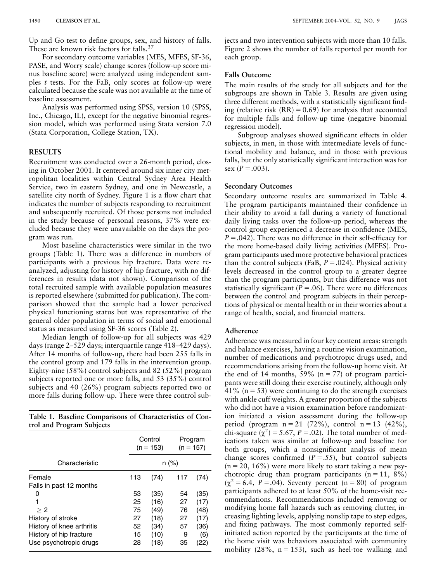Up and Go test to define groups, sex, and history of falls. These are known risk factors for falls.<sup>37</sup>

For secondary outcome variables (MES, MFES, SF-36, PASE, and Worry scale) change scores (follow-up score minus baseline score) were analyzed using independent samples t tests. For the FaB, only scores at follow-up were calculated because the scale was not available at the time of baseline assessment.

Analysis was performed using SPSS, version 10 (SPSS, Inc., Chicago, IL), except for the negative binomial regression model, which was performed using Stata version 7.0 (Stata Corporation, College Station, TX).

# **RESULTS**

Recruitment was conducted over a 26-month period, closing in October 2001. It centered around six inner city metropolitan localities within Central Sydney Area Health Service, two in eastern Sydney, and one in Newcastle, a satellite city north of Sydney. Figure 1 is a flow chart that indicates the number of subjects responding to recruitment and subsequently recruited. Of those persons not included in the study because of personal reasons, 37% were excluded because they were unavailable on the days the program was run.

Most baseline characteristics were similar in the two groups (Table 1). There was a difference in numbers of participants with a previous hip fracture. Data were reanalyzed, adjusting for history of hip fracture, with no differences in results (data not shown). Comparison of the total recruited sample with available population measures is reported elsewhere (submitted for publication). The comparison showed that the sample had a lower perceived physical functioning status but was representative of the general older population in terms of social and emotional status as measured using SF-36 scores (Table 2).

Median length of follow-up for all subjects was 429 days (range 2–529 days; interquartile range 418–429 days). After 14 months of follow-up, there had been 255 falls in the control group and 179 falls in the intervention group. Eighty-nine (58%) control subjects and 82 (52%) program subjects reported one or more falls, and 53 (35%) control subjects and 40 (26%) program subjects reported two or more falls during follow-up. There were three control sub-

Table 1. Baseline Comparisons of Characteristics of Control and Program Subjects

|                                   | Control<br>$(n = 153)$ |      | Program<br>$(n = 157)$ |      |
|-----------------------------------|------------------------|------|------------------------|------|
| Characteristic                    | n (%)                  |      |                        |      |
| Female<br>Falls in past 12 months | 113                    | (74) | 117                    | (74) |
| 0                                 | 53                     | (35) | 54                     | (35) |
| 1                                 | 25                     | (16) | 27                     | (17) |
| > 2                               | 75                     | (49) | 76                     | (48) |
| History of stroke                 | 27                     | (18) | 27                     | (17) |
| History of knee arthritis         | 52                     | (34) | 57                     | (36) |
| History of hip fracture           | 15                     | (10) | 9                      | (6)  |
| Use psychotropic drugs            | 28                     | (18) | 35                     | (22) |

jects and two intervention subjects with more than 10 falls. Figure 2 shows the number of falls reported per month for each group.

### Falls Outcome

The main results of the study for all subjects and for the subgroups are shown in Table 3. Results are given using three different methods, with a statistically significant finding (relative risk  $(RR) = 0.69$ ) for analysis that accounted for multiple falls and follow-up time (negative binomial regression model).

Subgroup analyses showed significant effects in older subjects, in men, in those with intermediate levels of functional mobility and balance, and in those with previous falls, but the only statistically significant interaction was for sex  $(P=.003)$ .

#### Secondary Outcomes

Secondary outcome results are summarized in Table 4. The program participants maintained their confidence in their ability to avoid a fall during a variety of functional daily living tasks over the follow-up period, whereas the control group experienced a decrease in confidence (MES,  $P = .042$ ). There was no difference in their self-efficacy for the more home-based daily living activities (MFES). Program participants used more protective behavioral practices than the control subjects (FaB,  $P = .024$ ). Physical activity levels decreased in the control group to a greater degree than the program participants, but this difference was not statistically significant ( $P = .06$ ). There were no differences between the control and program subjects in their perceptions of physical or mental health or in their worries about a range of health, social, and financial matters.

## Adherence

Adherence was measured in four key content areas: strength and balance exercises, having a routine vision examination, number of medications and psychotropic drugs used, and recommendations arising from the follow-up home visit. At the end of 14 months,  $59\%$  (n = 77) of program participants were still doing their exercise routinely, although only 41% ( $n = 53$ ) were continuing to do the strength exercises with ankle cuff weights. A greater proportion of the subjects who did not have a vision examination before randomization initiated a vision assessment during the follow-up period (program  $n = 21$  (72%), control  $n = 13$  (42%), chi-square  $(\chi^2)$  = 5.67, P = 0.02). The total number of medications taken was similar at follow-up and baseline for both groups, which a nonsignificant analysis of mean change scores confirmed  $(P = .55)$ , but control subjects  $(n = 20, 16\%)$  were more likely to start taking a new psychotropic drug than program participants  $(n = 11, 8\%)$  $(\gamma^2 = 6.4, P = .04)$ . Seventy percent (n = 80) of program participants adhered to at least 50% of the home-visit recommendations. Recommendations included removing or modifying home fall hazards such as removing clutter, increasing lighting levels, applying nonslip tape to step edges, and fixing pathways. The most commonly reported selfinitiated action reported by the participants at the time of the home visit was behaviors associated with community mobility  $(28\%, n = 153)$ , such as heel-toe walking and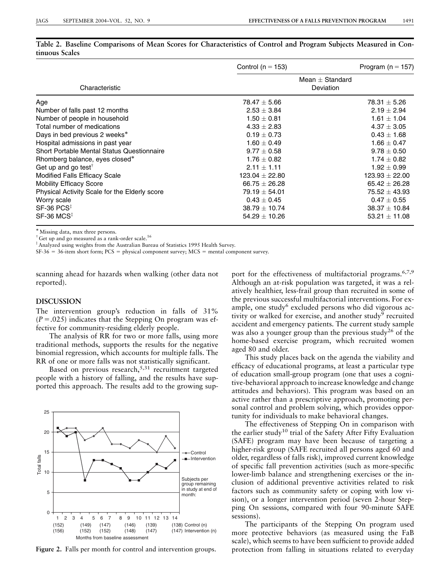|                                                   | Control ( $n = 153$ )          | Program ( $n = 157$ ) |  |  |
|---------------------------------------------------|--------------------------------|-----------------------|--|--|
| Characteristic                                    | $Mean + Standard$<br>Deviation |                       |  |  |
| Age                                               | $78.47 \pm 5.66$               | $78.31 \pm 5.26$      |  |  |
| Number of falls past 12 months                    | $2.53 \pm 3.84$                | $2.19 \pm 2.94$       |  |  |
| Number of people in household                     | $1.50 \pm 0.81$                | $1.61 \pm 1.04$       |  |  |
| Total number of medications                       | $4.33 + 2.83$                  | $4.37 + 3.05$         |  |  |
| Days in bed previous 2 weeks*                     | $0.19 + 0.73$                  | $0.43 + 1.68$         |  |  |
| Hospital admissions in past year                  | $1.60 \pm 0.49$                | $1.66 \pm 0.47$       |  |  |
| <b>Short Portable Mental Status Questionnaire</b> | $9.77 \pm 0.58$                | $9.78 \pm 0.50$       |  |  |
| Rhomberg balance, eyes closed*                    | $1.76 + 0.82$                  | $1.74 + 0.82$         |  |  |
| Get up and go test <sup>†</sup>                   | $2.11 + 1.11$                  | $1.92 + 0.99$         |  |  |
| Modified Falls Efficacy Scale                     | $123.04 \pm 22.80$             | $123.93 \pm 22.00$    |  |  |
| <b>Mobility Efficacy Score</b>                    | $66.75 \pm 26.28$              | $65.42 \pm 26.28$     |  |  |
| Physical Activity Scale for the Elderly score     | $79.19 + 54.01$                | $75.52 \pm 43.93$     |  |  |
| Worry scale                                       | $0.43 \pm 0.45$                | $0.47 \pm 0.55$       |  |  |
| $SF-36$ $PCS^{\ddagger}$                          | $38.79 \pm 10.74$              | $38.37 \pm 10.84$     |  |  |
| $SF-36 MCS‡$                                      | $54.29 \pm 10.26$              | $53.21 \pm 11.08$     |  |  |

Table 2. Baseline Comparisons of Mean Scores for Characteristics of Control and Program Subjects Measured in Continuous Scales

Missing data, max three persons.

<sup>†</sup> Get up and go measured as a rank-order scale.<sup>16</sup>

<sup>‡</sup> Analyzed using weights from the Australian Bureau of Statistics 1995 Health Survey.

 $SF-36 = 36$ -item short form; PCS = physical component survey; MCS = mental component survey.

scanning ahead for hazards when walking (other data not reported).

# DISCUSSION

The intervention group's reduction in falls of 31%  $(P = .025)$  indicates that the Stepping On program was effective for community-residing elderly people.

The analysis of RR for two or more falls, using more traditional methods, supports the results for the negative binomial regression, which accounts for multiple falls. The RR of one or more falls was not statistically significant.

Based on previous research,<sup>5,31</sup> recruitment targeted people with a history of falling, and the results have supported this approach. The results add to the growing sup-



Figure 2. Falls per month for control and intervention groups.

port for the effectiveness of multifactorial programs.<sup>6,7,9</sup> Although an at-risk population was targeted, it was a relatively healthier, less-frail group than recruited in some of the previous successful multifactorial interventions. For example, one study<sup>6</sup> excluded persons who did vigorous activity or walked for exercise, and another study<sup>9</sup> recruited accident and emergency patients. The current study sample was also a younger group than the previous study<sup>26</sup> of the home-based exercise program, which recruited women aged 80 and older.

This study places back on the agenda the viability and efficacy of educational programs, at least a particular type of education small-group program (one that uses a cognitive-behavioral approach to increase knowledge and change attitudes and behaviors). This program was based on an active rather than a prescriptive approach, promoting personal control and problem solving, which provides opportunity for individuals to make behavioral changes.

The effectiveness of Stepping On in comparison with the earlier study<sup>10</sup> trial of the Safety After Fifty Evaluation (SAFE) program may have been because of targeting a higher-risk group (SAFE recruited all persons aged 60 and older, regardless of falls risk), improved current knowledge of specific fall prevention activities (such as more-specific lower-limb balance and strengthening exercises or the inclusion of additional preventive activities related to risk factors such as community safety or coping with low vision), or a longer intervention period (seven 2-hour Stepping On sessions, compared with four 90-minute SAFE sessions).

The participants of the Stepping On program used more protective behaviors (as measured using the FaB scale), which seems to have been sufficient to provide added protection from falling in situations related to everyday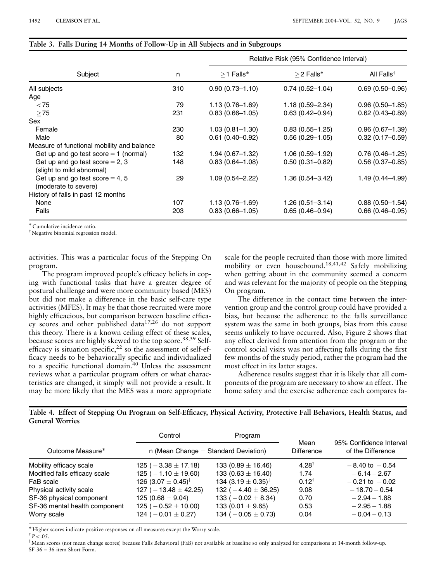|                                                                |     |                     | Relative Risk (95% Confidence Interval) |                        |  |
|----------------------------------------------------------------|-----|---------------------|-----------------------------------------|------------------------|--|
| Subject                                                        | n   | $>1$ Falls*         | $>$ 2 Falls*                            | All Falls <sup>†</sup> |  |
| All subjects                                                   | 310 | $0.90(0.73 - 1.10)$ | $0.74(0.52 - 1.04)$                     | $0.69(0.50 - 0.96)$    |  |
| Age                                                            |     |                     |                                         |                        |  |
| < 75                                                           | 79  | $1.13(0.76 - 1.69)$ | $1.18(0.59 - 2.34)$                     | $0.96(0.50 - 1.85)$    |  |
| $\geq$ 75                                                      | 231 | $0.83(0.66 - 1.05)$ | $0.63(0.42 - 0.94)$                     | $0.62(0.43 - 0.89)$    |  |
| Sex                                                            |     |                     |                                         |                        |  |
| Female                                                         | 230 | $1.03(0.81 - 1.30)$ | $0.83(0.55 - 1.25)$                     | $0.96(0.67 - 1.39)$    |  |
| Male                                                           | 80  | $0.61(0.40 - 0.92)$ | $0.56(0.29 - 1.05)$                     | $0.32(0.17 - 0.59)$    |  |
| Measure of functional mobility and balance                     |     |                     |                                         |                        |  |
| Get up and go test score $= 1$ (normal)                        | 132 | $1.94(0.67 - 1.32)$ | $1.06(0.59 - 1.92)$                     | $0.76(0.46 - 1.25)$    |  |
| Get up and go test score $= 2, 3$<br>(slight to mild abnormal) | 148 | $0.83(0.64 - 1.08)$ | $0.50(0.31 - 0.82)$                     | $0.56(0.37 - 0.85)$    |  |
| Get up and go test score $=$ 4, 5<br>(moderate to severe)      | 29  | $1.09(0.54 - 2.22)$ | $1.36(0.54 - 3.42)$                     | 1.49 (0.44-4.99)       |  |
| History of falls in past 12 months                             |     |                     |                                         |                        |  |
| None                                                           | 107 | $1.13(0.76 - 1.69)$ | $1.26(0.51 - 3.14)$                     | $0.88(0.50 - 1.54)$    |  |
| Falls                                                          | 203 | $0.83(0.66 - 1.05)$ | $0.65(0.46 - 0.94)$                     | $0.66(0.46 - 0.95)$    |  |

#### Table 3. Falls During 14 Months of Follow-Up in All Subjects and in Subgroups

Cumulative incidence ratio.

<sup>T</sup> Negative binomial regression model.

activities. This was a particular focus of the Stepping On program.

The program improved people's efficacy beliefs in coping with functional tasks that have a greater degree of postural challenge and were more community based (MES) but did not make a difference in the basic self-care type activities (MFES). It may be that those recruited were more highly efficacious, but comparison between baseline efficacy scores and other published data17,26 do not support this theory. There is a known ceiling effect of these scales, because scores are highly skewed to the top score.<sup>38,39</sup> Selfefficacy is situation specific,  $2^2$  so the assessment of self-efficacy needs to be behaviorally specific and individualized to a specific functional domain.<sup>40</sup> Unless the assessment reviews what a particular program offers or what characteristics are changed, it simply will not provide a result. It may be more likely that the MES was a more appropriate scale for the people recruited than those with more limited mobility or even housebound.18,41,42 Safely mobilizing when getting about in the community seemed a concern and was relevant for the majority of people on the Stepping On program.

The difference in the contact time between the intervention group and the control group could have provided a bias, but because the adherence to the falls surveillance system was the same in both groups, bias from this cause seems unlikely to have occurred. Also, Figure 2 shows that any effect derived from attention from the program or the control social visits was not affecting falls during the first few months of the study period, rather the program had the most effect in its latter stages.

Adherence results suggest that it is likely that all components of the program are necessary to show an effect. The home safety and the exercise adherence each compares fa-

| Table 4. Effect of Stepping On Program on Self-Efficacy, Physical Activity, Protective Fall Behaviors, Health Status, and |  |  |  |
|---------------------------------------------------------------------------------------------------------------------------|--|--|--|
| <b>General Worries</b>                                                                                                    |  |  |  |

|                               | Control                                                | Program                            |                           |                                              |  |
|-------------------------------|--------------------------------------------------------|------------------------------------|---------------------------|----------------------------------------------|--|
| Outcome Measure*              | n (Mean Change $\pm$ Standard Deviation)               |                                    | Mean<br><b>Difference</b> | 95% Confidence Interval<br>of the Difference |  |
| Mobility efficacy scale       | 125 ( $-3.38 \pm 17.18$ )                              | 133 (0.89 $\pm$ 16.46)             | $4.28^{\dagger}$          | $-8.40$ to $-0.54$                           |  |
| Modified falls efficacy scale | 125 ( $-1.10 \pm 19.60$ )                              | 133 (0.63 $\pm$ 16.40)             | 1.74                      | $-6.14 - 2.67$                               |  |
| FaB scale                     | 126 (3.07 $\pm$ 0.45) <sup><math>\ddagger</math></sup> | 134 (3.19 $\pm$ 0.35) <sup>‡</sup> | $0.12^{\dagger}$          | $-0.21$ to $-0.02$                           |  |
| Physical activity scale       | 127 ( $-13.48 \pm 42.25$ )                             | 132 ( $-4.40 \pm 36.25$ )          | 9.08                      | $-18.70 - 0.54$                              |  |
| SF-36 physical component      | 125 (0.68 $\pm$ 9.04)                                  | 133 ( $-0.02 \pm 8.34$ )           | 0.70                      | $-2.94 - 1.88$                               |  |
| SF-36 mental health component | 125 ( $-0.52 \pm 10.00$ )                              | 133 (0.01 $\pm$ 9.65)              | 0.53                      | $-2.95 - 1.88$                               |  |
| Worry scale                   | 124 ( $-0.01 \pm 0.27$ )                               | 134 ( $-0.05 \pm 0.73$ )           | 0.04                      | $-0.04 - 0.13$                               |  |

Higher scores indicate positive responses on all measures except the Worry scale.

 $P < .05$ .<br> $N_{\text{conn}}$ 

Mean scores (not mean change scores) because Falls Behavioral (FaB) not available at baseline so only analyzed for comparisons at 14-month follow-up.  $SF-36 = 36$ -item Short Form.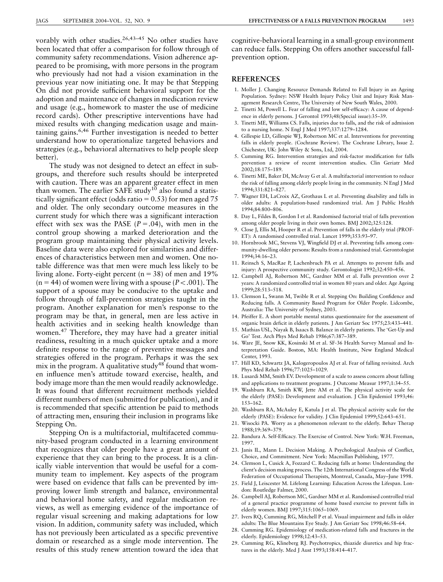vorably with other studies.26,43–45 No other studies have been located that offer a comparison for follow through of community safety recommendations. Vision adherence appeared to be promising, with more persons in the program who previously had not had a vision examination in the previous year now initiating one. It may be that Stepping On did not provide sufficient behavioral support for the adoption and maintenance of changes in medication review and usage (e.g., homework to master the use of medicine record cards). Other prescriptive interventions have had mixed results with changing medication usage and maintaining gains.6,46 Further investigation is needed to better understand how to operationalize targeted behaviors and strategies (e.g., behavioral alternatives to help people sleep better).

The study was not designed to detect an effect in subgroups, and therefore such results should be interpreted with caution. There was an apparent greater effect in men than women. The earlier SAFE study<sup>10</sup> also found a statistically significant effect (odds ratio  $= 0.53$ ) for men aged 75 and older. The only secondary outcome measures in the current study for which there was a significant interaction effect with sex was the PASE  $(P=.04)$ , with men in the control group showing a marked deterioration and the program group maintaining their physical activity levels. Baseline data were also explored for similarities and differences of characteristics between men and women. One notable difference was that men were much less likely to be living alone. Forty-eight percent ( $n = 38$ ) of men and 19%  $(n = 44)$  of women were living with a spouse ( $P < .001$ ). The support of a spouse may be conducive to the uptake and follow through of fall-prevention strategies taught in the program. Another explanation for men's response to the program may be that, in general, men are less active in health activities and in seeking health knowledge than women.<sup>47</sup> Therefore, they may have had a greater initial readiness, resulting in a much quicker uptake and a more definite response to the range of preventive messages and strategies offered in the program. Perhaps it was the sex mix in the program. A qualitative study<sup>48</sup> found that women influence men's attitude toward exercise, health, and body image more than the men would readily acknowledge. It was found that different recruitment methods yielded different numbers of men (submitted for publication), and it is recommended that specific attention be paid to methods of attracting men, ensuring their inclusion in programs like Stepping On.

Stepping On is a multifactorial, multifaceted community-based program conducted in a learning environment that recognizes that older people have a great amount of experience that they can bring to the process. It is a clinically viable intervention that would be useful for a community team to implement. Key aspects of the program were based on evidence that falls can be prevented by improving lower limb strength and balance, environmental and behavioral home safety, and regular medication reviews, as well as emerging evidence of the importance of regular visual screening and making adaptations for low vision. In addition, community safety was included, which has not previously been articulated as a specific preventive domain or researched as a single mode intervention. The results of this study renew attention toward the idea that

cognitive-behavioral learning in a small-group environment can reduce falls. Stepping On offers another successful fallprevention option.

#### **REFERENCES**

- 1. Moller J. Changing Resource Demands Related to Fall Injury in an Ageing Population. Sydney: NSW Health Injury Policy Unit and Injury Risk Management Research Centre, The University of New South Wales, 2000.
- 2. Tinetti M, Powell L. Fear of falling and low self-efficacy: A cause of dependence in elderly persons. J Gerontol 1993;48(Special issue):35–39.
- 3. Tinetti ME, Williams CS. Falls, injuries due to falls, and the risk of admission to a nursing home. N Engl J Med 1997;337:1279–1284.
- 4. Gillespie LD, Gillespie WJ, Robertson MC et al. Interventions for preventing falls in elderly people. (Cochrane Review). The Cochrane Library, Issue 2. Chichester, UK: John Wiley & Sons, Ltd, 2004.
- 5. Cumming RG. Intervention strategies and risk-factor modification for falls prevention a review of recent intervention studies. Clin Geriatr Med 2002;18:175–189.
- 6. Tinetti ME, Baker DI, McAvay G et al. A multifactorial intervention to reduce the risk of falling among elderly people living in the community. N Engl J Med 1994;331:821–827.
- 7. Wagner EH, LaCroix AZ, Grothaus L et al. Preventing disability and falls in older adults: A population-based randomized trial. Am J Public Health 1994;84:800–806.
- 8. Day L, Fildes B, Gordon I et al. Randomised factorial trial of falls prevention among older people living in their own homes. BMJ 2002;325:128.
- 9. Close J, Ellis M, Hooper R et al. Prevention of falls in the elderly trial (PROF-ET): A randomised controlled trial. Lancet 1999;353:93–97.
- 10. Hornbrook MC, Stevens VJ, Wingfield DJ et al. Preventing falls among community-dwelling older persons: Results from a randomised trial. Gerontologist 1994;34:16–23.
- 11. Reinsch S, MacRae P, Lachenbruch PA et al. Attempts to prevent falls and injury: A prospective community study. Gerontologist 1992;32:450–456.
- 12. Campbell AJ, Robertson MC, Gardner MM et al. Falls prevention over 2 years: A randomized controlled trial in women 80 years and older. Age Ageing 1999;28:513–518.
- 13. Clemson L, Swann M, Twible R et al. Stepping On: Building Confidence and Reducing falls. A Community Based Program for Older People. Lidcombe, Australia: The University of Sydney, 2003.
- 14. Pfeiffer E. A short portable mental status questionnaire for the assessment of organic brain deficit in elderly patients. J Am Geriatr Soc 1975;23:433–441.
- 15. Mathias USL, Nayak B, Isaacs B. Balance in elderly patients. The 'Get-Up and Go' Test. Arch Phys Med Rehab 1986;67:387–389.
- 16. Ware JE, Snow KK, Kosinski M et al. SF-36 Health Survey Manual and Interpretation Guide. Boston, MA: Health Institute, New England Medical Center, 1993.
- 17. Hill KD, Schwartz JA, Kalogeropoulos AJ et al. Fear of falling revisited. Arch Phys Med Rehab 1996;77:1025–1029.
- 18. Lusardi MM, Smith EV. Development of a scale to assess concern about falling and applications to treatment programs. J Outcome Measur 1997;1:34–55.
- 19. Washburn RA, Smith KW, Jette AM et al. The physical activity scale for the elderly (PASE): Development and evaluation. J Clin Epidemiol 1993;46: 153–162.
- 20. Washburn RA, McAuley E, Katula J et al. The physical activity scale for the elderly (PASE): Evidence for validity. J Clin Epidemiol 1999;52:643–651.
- 21. Wisocki PA. Worry as a phenomenon relevant to the elderly. Behav Therap 1988;19:369–379.
- 22. Bandura A. Self-Efficacy. The Exercise of Control. New York: W.H. Freeman, 1997.
- 23. Janis IL, Mann L. Decision Making. A Psychological Analysis of Conflict, Choice, and Commitment. New York: Macmillan Publishing, 1977.
- 24. Clemson L, Cusick A, Fozzard C. Reducing falls at home: Understanding the client's decision making process. The 12th International Congress of the World Federation of Occupational Therapists, Montreal, Canada, May–June 1998.
- 25. Field J, Leiscester M. Lifelong Learning: Education Across the Lifespan. London: Routledge Falmer, 2000.
- 26. Campbell AJ, Robertson MC, Gardner MM et al. Randomised controlled trial of a general practice programme of home based exercise to prevent falls in elderly women. BMJ 1997;315:1065–1069.
- 27. Ivers RQ, Cumming RG, Mitchell P et al. Visual impairment and falls in older adults: The Blue Mountains Eye Study. J Am Geriatr Soc 1998;46:58–64.
- 28. Cumming RG. Epidemiology of medication-related falls and fractures in the elderly. Epidemiology 1998;12:43–53.
- 29. Cumming RG, Klineberg RJ. Psychotropics, thiazide diuretics and hip fractures in the elderly. Med J Aust 1993;158:414–417.